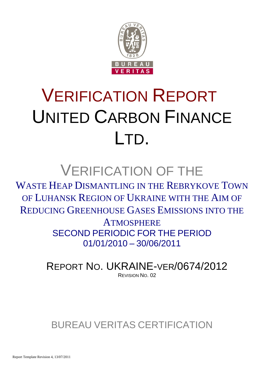

# VERIFICATION REPORT UNITED CARBON FINANCE LTD.

## VERIFICATION OF THE

WASTE HEAP DISMANTLING IN THE REBRYKOVE TOWN OF LUHANSK REGION OF UKRAINE WITH THE AIM OF REDUCING GREENHOUSE GASES EMISSIONS INTO THE

> **ATMOSPHERE** SECOND PERIODIC FOR THE PERIOD 01/01/2010 – 30/06/2011

REPORT NO. UKRAINE-VER/0674/2012 REVISION NO. 02

## BUREAU VERITAS CERTIFICATION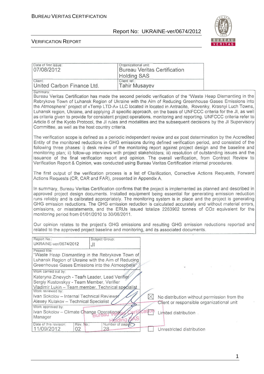Date of first issue: <br> <u>Organizational unit:</u>

#### Report No: UKRAINE-ver/0674/2012



#### VERIFICATION REPORT

| 07/08/2012                                                                                                                                                                                                                                                                                                                                                                                                                                                                                                                                                                                                                                                                                                                                                    | <b>Bureau Veritas Certification</b><br><b>Holding SAS</b>                                                                                                                                                                                                                                                                                                                                                                                                                                                                                                                                                                                                                               |  |  |  |  |
|---------------------------------------------------------------------------------------------------------------------------------------------------------------------------------------------------------------------------------------------------------------------------------------------------------------------------------------------------------------------------------------------------------------------------------------------------------------------------------------------------------------------------------------------------------------------------------------------------------------------------------------------------------------------------------------------------------------------------------------------------------------|-----------------------------------------------------------------------------------------------------------------------------------------------------------------------------------------------------------------------------------------------------------------------------------------------------------------------------------------------------------------------------------------------------------------------------------------------------------------------------------------------------------------------------------------------------------------------------------------------------------------------------------------------------------------------------------------|--|--|--|--|
| Client:<br>United Carbon Finance Ltd.                                                                                                                                                                                                                                                                                                                                                                                                                                                                                                                                                                                                                                                                                                                         | Client ref.:<br><b>Tahir Musayev</b>                                                                                                                                                                                                                                                                                                                                                                                                                                                                                                                                                                                                                                                    |  |  |  |  |
| Summary:<br>Bureau Veritas Certification has made the second periodic verification of the "Waste Heap Dismantling in the<br>Rebrykove Town of Luhansk Region of Ukraine with the Aim of Reducing Greenhouse Gases Emissions into<br>the Atmosphere" project of «Temp LTD-A» LLC located in located in Antracite, Rovenky, Krasnyi Luch Towns,<br>Luhansk region, Ukraine, and applying JI specific approach, on the basis of UNFCCC criteria for the JI, as well<br>as criteria given to provide for consistent project operations, monitoring and reporting. UNFCCC criteria refer to<br>Article 6 of the Kyoto Protocol, the JI rules and modalities and the subsequent decisions by the JI Supervisory<br>Committee, as well as the host country criteria. |                                                                                                                                                                                                                                                                                                                                                                                                                                                                                                                                                                                                                                                                                         |  |  |  |  |
|                                                                                                                                                                                                                                                                                                                                                                                                                                                                                                                                                                                                                                                                                                                                                               | The verification scope is defined as a periodic independent review and ex post determination by the Accredited<br>Entity of the monitored reductions in GHG emissions during defined verification period, and consisted of the<br>following three phases: i) desk review of the monitoring report against project design and the baseline and<br>monitoring plan; ii) follow-up interviews with project stakeholders; iii) resolution of outstanding issues and the<br>issuance of the final verification report and opinion. The overall verification, from Contract Review to<br>Verification Report & Opinion, was conducted using Bureau Veritas Certification internal procedures. |  |  |  |  |
| Actions Requests (CR, CAR and FAR), presented in Appendix A.                                                                                                                                                                                                                                                                                                                                                                                                                                                                                                                                                                                                                                                                                                  | The first output of the verification process is a list of Clarification, Corrective Actions Requests, Forward                                                                                                                                                                                                                                                                                                                                                                                                                                                                                                                                                                           |  |  |  |  |
| In summary, Bureau Veritas Certification confirms that the project is implemented as planned and described in<br>approved project design documents. Installed equipment being essential for generating emission reduction<br>runs reliably and is calibrated appropriately. The monitoring system is in place and the project is generating<br>GHG emission reductions. The GHG emission reduction is calculated accurately and without material errors,<br>omissions, or misstatements, and the ERUs issued totalize 2263902 tonnes of CO2 equivalent for the<br>monitoring period from 01/01/2010 to 30/06/2011.                                                                                                                                            |                                                                                                                                                                                                                                                                                                                                                                                                                                                                                                                                                                                                                                                                                         |  |  |  |  |
|                                                                                                                                                                                                                                                                                                                                                                                                                                                                                                                                                                                                                                                                                                                                                               | Our opinion relates to the project's GHG emissions and resulting GHG emission reductions reported and<br>related to the approved project baseline and monitoring, and its associated documents.                                                                                                                                                                                                                                                                                                                                                                                                                                                                                         |  |  |  |  |
| Report No.:<br>Subject Group:<br>UKRAINE-ver/0674/2012<br>JI                                                                                                                                                                                                                                                                                                                                                                                                                                                                                                                                                                                                                                                                                                  |                                                                                                                                                                                                                                                                                                                                                                                                                                                                                                                                                                                                                                                                                         |  |  |  |  |
| Project title:<br>"Waste Heap Dismantling in the Rebrykove Town of<br>Luhansk Region of Ukraine with the Aim of Reducing<br>Greenhouse Gases Emissions into the Atmosphere"                                                                                                                                                                                                                                                                                                                                                                                                                                                                                                                                                                                   |                                                                                                                                                                                                                                                                                                                                                                                                                                                                                                                                                                                                                                                                                         |  |  |  |  |
| Work carried out by:<br>Kateryna Zinevych - Team Leader, Lead Verifier<br>Sergiy Kustovskyy - Team Member, Verifier<br>Vladimir Lukin - Team member, Technical specialist<br>Work reviewed by:                                                                                                                                                                                                                                                                                                                                                                                                                                                                                                                                                                |                                                                                                                                                                                                                                                                                                                                                                                                                                                                                                                                                                                                                                                                                         |  |  |  |  |
| Ivan Sokolov - Internal Technical Reviewer<br>Alexey Kulakov - Technical Specialist                                                                                                                                                                                                                                                                                                                                                                                                                                                                                                                                                                                                                                                                           | $\boxtimes$<br>No distribution without permission from the<br>Client or responsible organizational unit                                                                                                                                                                                                                                                                                                                                                                                                                                                                                                                                                                                 |  |  |  |  |
| Work approved by:<br>Ivan Sokolov - Climate Change Operational<br>Manager                                                                                                                                                                                                                                                                                                                                                                                                                                                                                                                                                                                                                                                                                     | Limited distribution.                                                                                                                                                                                                                                                                                                                                                                                                                                                                                                                                                                                                                                                                   |  |  |  |  |
| Date of this revision:<br>Rev. No.:<br>Number of pages:<br>11/09/2012<br>02<br>28                                                                                                                                                                                                                                                                                                                                                                                                                                                                                                                                                                                                                                                                             | Unrestricted distribution                                                                                                                                                                                                                                                                                                                                                                                                                                                                                                                                                                                                                                                               |  |  |  |  |

1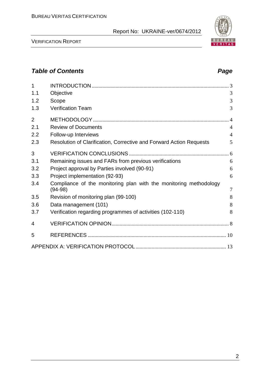VERIFICATION REPORT

### *Table of Contents Page*

| 1              |                                                                                |                |
|----------------|--------------------------------------------------------------------------------|----------------|
| 1.1            | Objective                                                                      | 3              |
| 1.2            | Scope                                                                          | 3              |
| 1.3            | <b>Verification Team</b>                                                       | 3              |
| $\overline{2}$ |                                                                                |                |
| 2.1            | <b>Review of Documents</b>                                                     | $\overline{4}$ |
| 2.2            | Follow-up Interviews                                                           | $\overline{4}$ |
| 2.3            | Resolution of Clarification, Corrective and Forward Action Requests            | 5              |
| 3              |                                                                                |                |
| 3.1            | Remaining issues and FARs from previous verifications                          | 6              |
| 3.2            | Project approval by Parties involved (90-91)                                   | 6              |
| 3.3            | Project implementation (92-93)                                                 | 6              |
| 3.4            | Compliance of the monitoring plan with the monitoring methodology<br>$(94-98)$ | $\overline{7}$ |
| 3.5            | Revision of monitoring plan (99-100)                                           | 8              |
| 3.6            | Data management (101)                                                          | 8              |
| 3.7            | Verification regarding programmes of activities (102-110)                      | 8              |
| 4              |                                                                                |                |
| 5              |                                                                                |                |
|                |                                                                                |                |

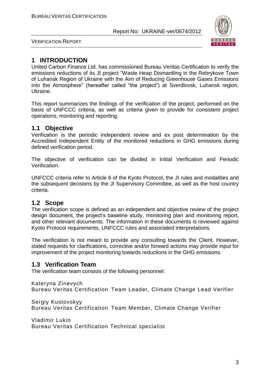

VERIFICATION REPORT

#### **1 INTRODUCTION**

United Carbon Finance Ltd. has commissioned Bureau Veritas Certification to verify the emissions reductions of its JI project "Waste Heap Dismantling in the Rebrykove Town of Luhansk Region of Ukraine with the Aim of Reducing Greenhouse Gases Emissions into the Atmosphere" (hereafter called "the project") at Sverdlovsk, Luhansk region, Ukraine.

This report summarizes the findings of the verification of the project, performed on the basis of UNFCCC criteria, as well as criteria given to provide for consistent project operations, monitoring and reporting.

#### **1.1 Objective**

Verification is the periodic independent review and ex post determination by the Accredited Independent Entity of the monitored reductions in GHG emissions during defined verification period.

The objective of verification can be divided in Initial Verification and Periodic Verification.

UNFCCC criteria refer to Article 6 of the Kyoto Protocol, the JI rules and modalities and the subsequent decisions by the JI Supervisory Committee, as well as the host country criteria.

#### **1.2 Scope**

The verification scope is defined as an independent and objective review of the project design document, the project's baseline study, monitoring plan and monitoring report, and other relevant documents. The information in these documents is reviewed against Kyoto Protocol requirements, UNFCCC rules and associated interpretations.

The verification is not meant to provide any consulting towards the Client. However, stated requests for clarifications, corrective and/or forward actions may provide input for improvement of the project monitoring towards reductions in the GHG emissions.

#### **1.3 Verification Team**

The verification team consists of the following personnel:

Kateryna Zinevych Bureau Veritas Certification Team Leader, Climate Change Lead Verifier

Sergiy Kustovskyy Bureau Veritas Certification Team Member, Climate Change Verifier

Vladimir Lukin Bureau Veritas Certification Technical specialist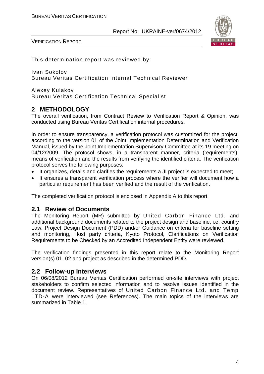

VERIFICATION REPORT

This determination report was reviewed by:

Ivan Sokolov Bureau Veritas Certification Internal Technical Reviewer

Alexey Kulakov Bureau Veritas Certification Technical Specialist

#### **2 METHODOLOGY**

The overall verification, from Contract Review to Verification Report & Opinion, was conducted using Bureau Veritas Certification internal procedures.

In order to ensure transparency, a verification protocol was customized for the project, according to the version 01 of the Joint Implementation Determination and Verification Manual, issued by the Joint Implementation Supervisory Committee at its 19 meeting on 04/12/2009. The protocol shows, in a transparent manner, criteria (requirements), means of verification and the results from verifying the identified criteria. The verification protocol serves the following purposes:

- It organizes, details and clarifies the requirements a JI project is expected to meet;
- It ensures a transparent verification process where the verifier will document how a particular requirement has been verified and the result of the verification.

The completed verification protocol is enclosed in Appendix A to this report.

#### **2.1 Review of Documents**

The Monitoring Report (MR) submitted by United Carbon Finance Ltd. and additional background documents related to the project design and baseline, i.e. country Law, Project Design Document (PDD) and/or Guidance on criteria for baseline setting and monitoring, Host party criteria, Kyoto Protocol, Clarifications on Verification Requirements to be Checked by an Accredited Independent Entity were reviewed.

The verification findings presented in this report relate to the Monitoring Report version(s) 01, 02 and project as described in the determined PDD.

#### **2.2 Follow-up Interviews**

On 06/08/2012 Bureau Veritas Certification performed on-site interviews with project stakeholders to confirm selected information and to resolve issues identified in the document review. Representatives of United Carbon Finance Ltd. and Temp LTD-A were interviewed (see References). The main topics of the interviews are summarized in Table 1.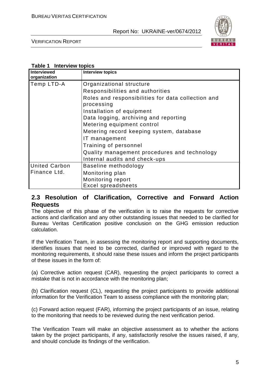

VERIFICATION REPORT

#### **Table 1 Interview topics**

| Interviewed<br>organization | <b>Interview topics</b>                                          |
|-----------------------------|------------------------------------------------------------------|
| Temp LTD-A                  | Organizational structure                                         |
|                             | Responsibilities and authorities                                 |
|                             | Roles and responsibilities for data collection and<br>processing |
|                             | Installation of equipment                                        |
|                             | Data logging, archiving and reporting                            |
|                             | Metering equipment control                                       |
|                             | Metering record keeping system, database                         |
|                             | IT management                                                    |
|                             | Training of personnel                                            |
|                             | Quality management procedures and technology                     |
|                             | Internal audits and check-ups                                    |
| <b>United Carbon</b>        | Baseline methodology                                             |
| Finance Ltd.                | Monitoring plan                                                  |
|                             | Monitoring report                                                |
|                             | <b>Excel spreadsheets</b>                                        |

#### **2.3 Resolution of Clarification, Corrective and Forward Action Requests**

The objective of this phase of the verification is to raise the requests for corrective actions and clarification and any other outstanding issues that needed to be clarified for Bureau Veritas Certification positive conclusion on the GHG emission reduction calculation.

If the Verification Team, in assessing the monitoring report and supporting documents, identifies issues that need to be corrected, clarified or improved with regard to the monitoring requirements, it should raise these issues and inform the project participants of these issues in the form of:

(a) Corrective action request (CAR), requesting the project participants to correct a mistake that is not in accordance with the monitoring plan;

(b) Clarification request (CL), requesting the project participants to provide additional information for the Verification Team to assess compliance with the monitoring plan;

(c) Forward action request (FAR), informing the project participants of an issue, relating to the monitoring that needs to be reviewed during the next verification period.

The Verification Team will make an objective assessment as to whether the actions taken by the project participants, if any, satisfactorily resolve the issues raised, if any, and should conclude its findings of the verification.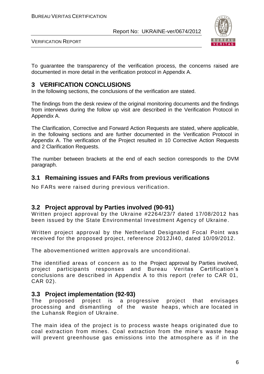

VERIFICATION REPORT

To guarantee the transparency of the verification process, the concerns raised are documented in more detail in the verification protocol in Appendix A.

#### **3 VERIFICATION CONCLUSIONS**

In the following sections, the conclusions of the verification are stated.

The findings from the desk review of the original monitoring documents and the findings from interviews during the follow up visit are described in the Verification Protocol in Appendix A.

The Clarification, Corrective and Forward Action Requests are stated, where applicable, in the following sections and are further documented in the Verification Protocol in Appendix A. The verification of the Project resulted in 10 Corrective Action Requests and 2 Clarification Requests.

The number between brackets at the end of each section corresponds to the DVM paragraph.

#### **3.1 Remaining issues and FARs from previous verifications**

No FARs were raised during previous verification.

#### **3.2 Project approval by Parties involved (90-91)**

Written project approval by the Ukraine #2264/23/7 dated 17/08/2012 has been issued by the State Environmental Investment Agency of Ukraine.

Written project approval by the Netherland Designated Focal Point was received for the proposed project, reference 2012JI40, dated 10/09/2012.

The abovementioned written approvals are unconditional.

The identified areas of concern as to the Project approval by Parties involved, project participants responses and Bureau Veritas Certification's conclusions are described in Appendix A to this report (refer to CAR 01, CAR 02).

#### **3.3 Project implementation (92-93)**

The proposed project is a progressive project that envisages processing and dismantling of the waste heaps, which are located in the Luhansk Region of Ukraine.

The main idea of the project is to process waste heaps originated due to coal extraction from mines. Coal extraction from the mine's waste heap will prevent greenhouse gas emissions into the atmosphere as if in the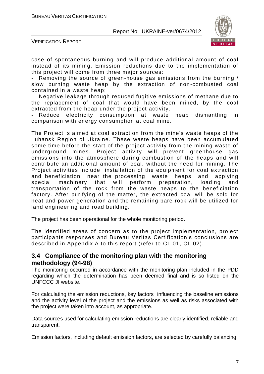

VERIFICATION REPORT

case of spontaneous burning and will produce additional amount of coal instead of its mining. Emission reductions due to the implementation of this project will come from three major sources:

Removing the source of green-house gas emissions from the burning / slow burning waste heap by the extraction of non -combusted coal contained in a waste heap;

Negative leakage through reduced fugitive emissions of methane due to the replacement of coal that would have been mined, by the coal extracted from the heap under the project activity.

Reduce electricity consumption at waste heap dismantling in comparison with energy consumption at coal mine.

The Project is aimed at coal extraction from the mine's waste heaps of the Luhansk Region of Ukraine. These waste heaps have been accumulated some time before the start of the project activity from the mining waste of underground mines. Project activity will prevent greenhouse gas emissions into the atmosphere during combustion of the heaps and will contribute an additional amount of coal, without the need for mining. The Project activities include installation of the equipment for coal extraction and beneficiation near the processing waste heaps and applying special machinery that will perform preparation, loading and transportation of the rock from the waste heaps to the beneficiation factory. After purifying of the matter, the extracted coal will be sold for heat and power generation and the remaining bare rock will be utilized for land engineering and road building.

The project has been operational for the whole monitoring period.

The identified areas of concern as to the project implementation, project participants responses and Bureau Veritas Certification's conclusions are described in Appendix A to this report (refer to CL 01, CL 02).

#### **3.4 Compliance of the monitoring plan with the monitoring methodology (94-98)**

The monitoring occurred in accordance with the monitoring plan included in the PDD regarding which the determination has been deemed final and is so listed on the UNFCCC JI website.

For calculating the emission reductions, key factors influencing the baseline emissions and the activity level of the project and the emissions as well as risks associated with the project were taken into account, as appropriate.

Data sources used for calculating emission reductions are clearly identified, reliable and transparent.

Emission factors, including default emission factors, are selected by carefully balancing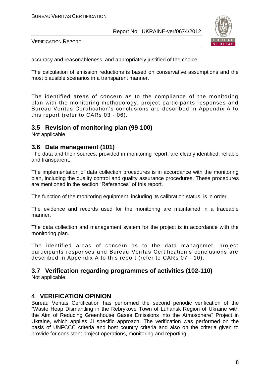

VERIFICATION REPORT

accuracy and reasonableness, and appropriately justified of the choice.

The calculation of emission reductions is based on conservative assumptions and the most plausible scenarios in a transparent manner.

The identified areas of concern as to the compliance of the monitoring plan with the monitoring methodology, project participants responses and Bureau Veritas Certification's conclusions are described in Appendix A to this report (refer to CARs 03 - 06).

#### **3.5 Revision of monitoring plan (99-100)**

Not applicable

#### **3.6 Data management (101)**

The data and their sources, provided in monitoring report, are clearly identified, reliable and transparent.

The implementation of data collection procedures is in accordance with the monitoring plan, including the quality control and quality assurance procedures. These procedures are mentioned in the section "References" of this report.

The function of the monitoring equipment, including its calibration status, is in order.

The evidence and records used for the monitoring are maintained in a traceable manner.

The data collection and management system for the project is in accordance with the monitoring plan.

The identified areas of concern as to the data managemet, project participants responses and Bureau Veritas Certification's conclusions are described in Appendix A to this report (refer to CARs 07 - 10).

#### **3.7 Verification regarding programmes of activities (102-110)**

Not applicable.

#### **4 VERIFICATION OPINION**

Bureau Veritas Certification has performed the second periodic verification of the "Waste Heap Dismantling in the Rebrykove Town of Luhansk Region of Ukraine with the Aim of Reducing Greenhouse Gases Emissions into the Atmosphere" Project in Ukraine, which applies JI specific approach. The verification was performed on the basis of UNFCCC criteria and host country criteria and also on the criteria given to provide for consistent project operations, monitoring and reporting.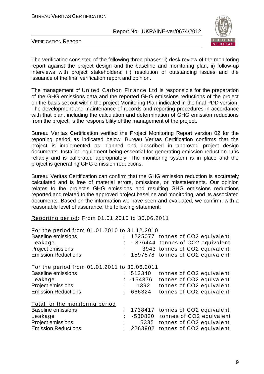

VERIFICATION REPORT

The verification consisted of the following three phases: i) desk review of the monitoring report against the project design and the baseline and monitoring plan; ii) follow-up interviews with project stakeholders; iii) resolution of outstanding issues and the issuance of the final verification report and opinion.

The management of United Carbon Finance Ltd is responsible for the preparation of the GHG emissions data and the reported GHG emissions reductions of the project on the basis set out within the project Monitoring Plan indicated in the final PDD version. The development and maintenance of records and reporting procedures in accordance with that plan, including the calculation and determination of GHG emission reductions from the project, is the responsibility of the management of the project.

Bureau Veritas Certification verified the Project Monitoring Report version 02 for the reporting period as indicated below. Bureau Veritas Certification confirms that the project is implemented as planned and described in approved project design documents. Installed equipment being essential for generating emission reduction runs reliably and is calibrated appropriately. The monitoring system is in place and the project is generating GHG emission reductions.

Bureau Veritas Certification can confirm that the GHG emission reduction is accurately calculated and is free of material errors, omissions, or misstatements. Our opinion relates to the project's GHG emissions and resulting GHG emissions reductions reported and related to the approved project baseline and monitoring, and its associated documents. Based on the information we have seen and evaluated, we confirm, with a reasonable level of assurance, the following statement:

Reporting period: From 01.01.2010 to 30.06.2011

| For the period from 01.01.2010 to 31.12.2010 |                                    |
|----------------------------------------------|------------------------------------|
|                                              | 1225077 tonnes of CO2 equivalent   |
|                                              | -376444 tonnes of CO2 equivalent   |
|                                              | 3943 tonnes of CO2 equivalent      |
|                                              | : 1597578 tonnes of CO2 equivalent |
| For the period from 01.01.2011 to 30.06.2011 |                                    |
| 513340                                       | tonnes of CO2 equivalent           |
| $: -154376$                                  | tonnes of CO2 equivalent           |
| 1392                                         | tonnes of CO2 equivalent           |
| 666324                                       | tonnes of CO2 equivalent           |
|                                              |                                    |
|                                              | : 1738417 tonnes of CO2 equivalent |
|                                              | -530820 tonnes of CO2 equivalent   |
| 5335                                         | tonnes of CO2 equivalent           |
| 2263902<br>t.                                | tonnes of CO2 equivalent           |
|                                              |                                    |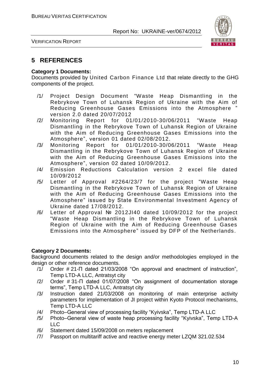

VERIFICATION REPORT

#### **5 REFERENCES**

#### **Category 1 Documents:**

Documents provided by United Carbon Finance Ltd that relate directly to the GHG components of the project.

- /1/ Project Design Document "Waste Heap Dismantling in the Rebrykove Town of Luhansk Region of Ukraine with the Aim of Reducing Greenhouse Gases Emissions into the Atmosphere " version 2.0 dated 20/07/2012
- /2/ Monitoring Report for 01/01/2010-30/06/2011 "Waste Heap Dismantling in the Rebrykove Town of Luhansk Region of Ukraine with the Aim of Reducing Greenhouse Gases Emissions into the Atmosphere", version 01 dated 02/08/2012.
- /3/ Monitoring Report for 01/01/2010-30/06/2011 "Waste Heap Dismantling in the Rebrykove Town of Luhansk Region of Ukraine with the Aim of Reducing Greenhouse Gases Emissions into the Atmosphere", version 02 dated 10/09/2012.
- /4/ Emission Reductions Calculation version 2 excel file dated 10/09/2012
- /5/ Letter of Approval #2264/23/7 for the project "Waste Heap Dismantling in the Rebrykove Town of Luhansk Region of Ukraine with the Aim of Reducing Greenhouse Gases Emissions into the Atmosphere" issued by State Environmental Investment Agency of Ukraine dated 17/08/2012.
- /6/ Letter of Approval № 2012JI40 dated 10/09/2012 for the project "Waste Heap Dismantling in the Rebrykove Town of Luhansk Region of Ukraine with the Aim of Reducing Greenhouse Gases Emissions into the Atmosphere" issued by DFP of the Netherlands.

#### **Category 2 Documents:**

Background documents related to the design and/or methodologies employed in the design or other reference documents.

- /1/ Order # 21-П dated 21/03/2008 "On approval and enactment of instruction", Temp LTD-A LLC, Antratsyt city
- /2/ Order # 31-П dated 01/07/2008 "On assignment of documentation storage terms", Temp LTD-A LLC, Antratsyt city
- /3/ Instruction dated 21/03/2008 on monitoring of main enterprise activity parameters for implementation of JI project within Kyoto Protocol mechanisms, Temp LTD-A LLC
- /4/ Photo–General view of processing facility "Kyivska", Temp LTD-A LLC
- /5/ Photo–General view of waste heap processing facility "Kyivska", Temp LTD-A  $\overline{L}$
- /6/ Statement dated 15/09/2008 on meters replacement
- /7/ Passport on multitariff active and reactive energy meter LZQM 321.02.534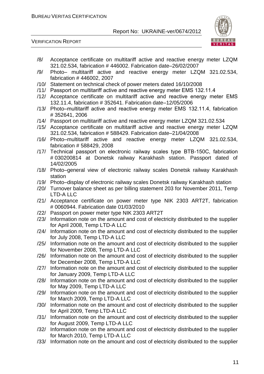VERIFICATION REPORT



- /8/ Acceptance certificate on multitariff active and reactive energy meter LZQM 321.02.534, fabrication # 446002. Fabrication date–26/02/2007
- /9/ Photo– multitariff active and reactive energy meter LZQM 321.02.534, fabrication # 446002, 2007
- /10/ Statement on technical check of power meters dated 16/10/2008
- /11/ Passport on multitariff active and reactive energy meter ЕМS 132.11.4
- /12/ Acceptance certificate on multitariff active and reactive energy meter ЕМS 132.11.4, fabrication # 352641. Fabrication date–12/05/2006
- /13/ Photo–multitariff active and reactive energy meter ЕМS 132.11.4, fabrication # 352641, 2006
- /14/ Passport on multitariff active and reactive energy meter LZQM 321.02.534
- /15/ Acceptance certificate on multitariff active and reactive energy meter LZQM 321.02.534, fabrication # 588429. Fabrication date–21/04/2008
- /16/ Photo–multitariff active and reactive energy meter LZQM 321.02.534, fabrication # 588429, 2008
- /17/ Technical passport on electronic railway scales type ВТВ-150С, fabrication # 030200814 at Donetsk railway Karakhash station. Passport dated of 14/02/2005
- /18/ Photo–general view of electronic railway scales Donetsk railway Karakhash station
- /19/ Photo–display of electronic railway scales Donetsk railway Karakhash station
- /20/ Turnover balance sheet as per billing statement 203 for November 2011, Temp LTD-A LLC
- /21/ Acceptance certificate on power meter type NIK 2303 ART2T, fabrication # 0060944. Fabrication date 01/03/2010
- /22/ Passport on power meter type NIK 2303 ART2T
- /23/ Information note on the amount and cost of electricity distributed to the supplier for April 2008, Temp LTD-A LLC
- /24/ Information note on the amount and cost of electricity distributed to the supplier for July 2008, Temp LTD-A LLC
- /25/ Information note on the amount and cost of electricity distributed to the supplier for November 2008, Temp LTD-A LLC
- /26/ Information note on the amount and cost of electricity distributed to the supplier for December 2008, Temp LTD-A LLC
- /27/ Information note on the amount and cost of electricity distributed to the supplier for January 2009, Temp LTD-A LLC
- /28/ Information note on the amount and cost of electricity distributed to the supplier for May 2009, Temp LTD-A LLC
- /29/ Information note on the amount and cost of electricity distributed to the supplier for March 2009, Temp LTD-A LLC
- /30/ Information note on the amount and cost of electricity distributed to the supplier for April 2009, Temp LTD-A LLC
- /31/ Information note on the amount and cost of electricity distributed to the supplier for August 2009, Temp LTD-A LLC
- /32/ Information note on the amount and cost of electricity distributed to the supplier for March 2010, Temp LTD-A LLC
- /33/ Information note on the amount and cost of electricity distributed to the supplier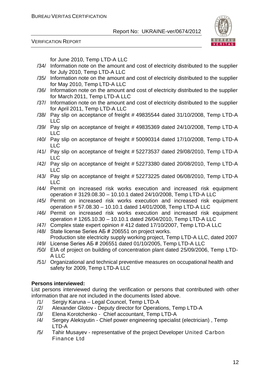



for June 2010, Temp LTD-A LLC

- /34/ Information note on the amount and cost of electricity distributed to the supplier for July 2010, Temp LTD-A LLC
- /35/ Information note on the amount and cost of electricity distributed to the supplier for May 2010, Temp LTD-A LLC
- /36/ Information note on the amount and cost of electricity distributed to the supplier for March 2011, Temp LTD-A LLC
- /37/ Information note on the amount and cost of electricity distributed to the supplier for April 2011, Temp LTD-A LLC
- /38/ Pay slip on acceptance of freight # 49835544 dated 31/10/2008, Temp LTD-A LLC
- /39/ Pay slip on acceptance of freight # 49835369 dated 24/10/2008, Temp LTD-A LLC
- /40/ Pay slip on acceptance of freight # 50090314 dated 17/10/2008, Temp LTD-A LLC
- /41/ Pay slip on acceptance of freight # 52273537 dated 29/08/2010, Temp LTD-A LLC
- /42/ Pay slip on acceptance of freight # 52273380 dated 20/08/2010, Temp LTD-A LLC
- /43/ Pay slip on acceptance of freight # 52273225 dated 06/08/2010, Temp LTD-A LLC
- /44/ Permit on increased risk works execution and increased risk equipment operation # 3129.08.30 – 10.10.1 dated 24/10/2008, Temp LTD-A LLC
- /45/ Permit on increased risk works execution and increased risk equipment operation # 57.08.30 – 10.10.1 dated 14/01/2008, Temp LTD-A LLC
- /46/ Permit on increased risk works execution and increased risk equipment operation # 1265.10.30 – 10.10.1 dated 26/04/2010, Temp LTD-A LLC
- /47/ Complex state expert opinion # 412 dated 17/10/2007, Temp LTD-A LLC
- /48/ State license Series АБ # 206551 on project works. Production site electricity supply working project, Temp LTD-A LLC, dated 2007
- /49/ License Series АБ # 206551 dated 01/10/2005, Temp LTD-A LLC
- /50/ EIA of project on building of concentration plant dated 25/09/2006, Temp LTD-A LLC
- /51/ Organizational and technical preventive measures on occupational health and safety for 2009, Temp LTD-A LLC

#### **Persons interviewed:**

List persons interviewed during the verification or persons that contributed with other information that are not included in the documents listed above.

- /1/ Sergiy Karuna Legal Councel, Temp LTD-A
- /2/ Alexander Glotov Deputy director for Operations, Temp LTD-A
- /3/ Elena Korotchenko Chief accountant, Temp LTD-A
- /4/ Sergey Aleksyutin Chief power engineering specialist (electrician) , Temp LTD-A
- /5/ Tahir Musayev representative of the project Developer United Carbon Finance Ltd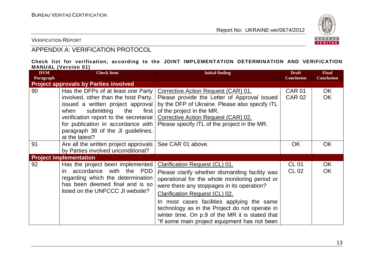

VERIFICATION REPORT

#### APPENDIX A: VERIFICATION PROTOCOL

#### **Check list for verification, according to the JOINT IMPLEMENTATION DETERMINATION AND VERIFICATION MANUAL (Version 01)**

| <b>DVM</b><br>Paragraph | <b>Check Item</b>                                                                                                                                                                                                                                                                               | <b>Initial finding</b>                                                                                                                                                                                                                                                                                                                                                                                                        | <b>Draft</b><br><b>Conclusion</b> | <b>Final</b><br><b>Conclusion</b> |
|-------------------------|-------------------------------------------------------------------------------------------------------------------------------------------------------------------------------------------------------------------------------------------------------------------------------------------------|-------------------------------------------------------------------------------------------------------------------------------------------------------------------------------------------------------------------------------------------------------------------------------------------------------------------------------------------------------------------------------------------------------------------------------|-----------------------------------|-----------------------------------|
|                         | <b>Project approvals by Parties involved</b>                                                                                                                                                                                                                                                    |                                                                                                                                                                                                                                                                                                                                                                                                                               |                                   |                                   |
| 90                      | Has the DFPs of at least one Party<br>involved, other than the host Party,<br>issued a written project approval<br>submitting<br>when<br>the<br>first  <br>verification report to the secretariat<br>for publication in accordance with<br>paragraph 38 of the JI guidelines,<br>at the latest? | Corrective Action Request (CAR) 01.<br>Please provide the Letter of Approval issued<br>by the DFP of Ukraine. Please also specify ITL<br>of the project in the MR.<br>Corrective Action Request (CAR) 02.<br>Please specify ITL of the project in the MR.                                                                                                                                                                     | <b>CAR 01</b><br><b>CAR 02</b>    | OK.<br><b>OK</b>                  |
| 91                      | Are all the written project approvals<br>by Parties involved unconditional?                                                                                                                                                                                                                     | See CAR 01 above.                                                                                                                                                                                                                                                                                                                                                                                                             | <b>OK</b>                         | <b>OK</b>                         |
|                         | <b>Project implementation</b>                                                                                                                                                                                                                                                                   |                                                                                                                                                                                                                                                                                                                                                                                                                               |                                   |                                   |
| 92                      | Has the project been implemented<br>accordance with the PDD<br>in.<br>regarding which the determination<br>has been deemed final and is so<br>listed on the UNFCCC JI website?                                                                                                                  | Clarification Request (CL) 01.<br>Please clarify whether dismantling facility was<br>operational for the whole monitoring period or<br>were there any stoppages in its operation?<br><b>Clarification Request (CL) 02.</b><br>In most cases facilities applying the same<br>technology as in the Project do not operate in<br>winter time. On p.9 of the MR it is stated that<br>"If some main project equipment has not been | <b>CL 01</b><br>CL 02             | OK<br><b>OK</b>                   |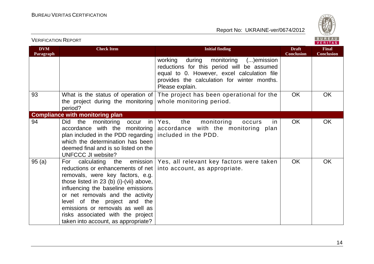

| <b>DVM</b><br>Paragraph | <b>Check Item</b>                                                                                                                                                                                                                                                                                                                                                             | <b>Initial finding</b>                                                                                                                                                                                       | <b>Draft</b><br><b>Conclusion</b> | <b>Final</b><br><b>Conclusion</b> |
|-------------------------|-------------------------------------------------------------------------------------------------------------------------------------------------------------------------------------------------------------------------------------------------------------------------------------------------------------------------------------------------------------------------------|--------------------------------------------------------------------------------------------------------------------------------------------------------------------------------------------------------------|-----------------------------------|-----------------------------------|
|                         |                                                                                                                                                                                                                                                                                                                                                                               | during monitoring<br>working<br>$()$ emission<br>reductions for this period will be assumed<br>equal to 0. However, excel calculation file<br>provides the calculation for winter months.<br>Please explain. |                                   |                                   |
| 93                      | What is the status of operation of<br>the project during the monitoring<br>period?                                                                                                                                                                                                                                                                                            | The project has been operational for the<br>whole monitoring period.                                                                                                                                         | OK                                | <b>OK</b>                         |
|                         | <b>Compliance with monitoring plan</b>                                                                                                                                                                                                                                                                                                                                        |                                                                                                                                                                                                              |                                   |                                   |
| 94                      | monitoring<br>Did<br>the<br>in<br>occur<br>accordance with the monitoring<br>plan included in the PDD regarding<br>which the determination has been<br>deemed final and is so listed on the<br><b>UNFCCC JI website?</b>                                                                                                                                                      | the<br>monitoring<br>Yes,<br>in<br>occurs<br>accordance with the monitoring plan<br>included in the PDD.                                                                                                     | <b>OK</b>                         | OK                                |
| 95(a)                   | emission<br>For calculating the<br>reductions or enhancements of net<br>removals, were key factors, e.g.<br>those listed in 23 (b) (i)-(vii) above,<br>influencing the baseline emissions<br>or net removals and the activity<br>level of the project and the<br>emissions or removals as well as<br>risks associated with the project<br>taken into account, as appropriate? | Yes, all relevant key factors were taken<br>into account, as appropriate.                                                                                                                                    | <b>OK</b>                         | OK                                |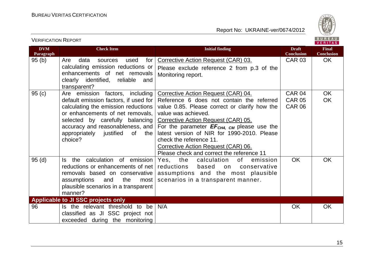VERIFICATION REPORT



| <b>DVM</b><br>Paragraph | <b>Check Item</b>                                                            | <b>Initial finding</b>                                                                     | <b>Draft</b><br><b>Conclusion</b> | <b>Final</b><br><b>Conclusion</b> |
|-------------------------|------------------------------------------------------------------------------|--------------------------------------------------------------------------------------------|-----------------------------------|-----------------------------------|
| 95(b)                   | Are<br>data<br>for $ $<br>used<br>sources                                    | Corrective Action Request (CAR) 03.                                                        | <b>CAR 03</b>                     | <b>OK</b>                         |
|                         | calculating emission reductions or                                           | Please exclude reference 2 from p.3 of the                                                 |                                   |                                   |
|                         | enhancements of net removals                                                 | Monitoring report.                                                                         |                                   |                                   |
|                         | clearly identified, reliable<br>and                                          |                                                                                            |                                   |                                   |
|                         | transparent?                                                                 |                                                                                            |                                   |                                   |
| 95(c)                   | Are emission factors, including                                              | Corrective Action Request (CAR) 04.                                                        | CAR 04                            | <b>OK</b>                         |
|                         | default emission factors, if used for<br>calculating the emission reductions | Reference 6 does not contain the referred<br>value 0.85. Please correct or clarify how the | <b>CAR 05</b><br><b>CAR 06</b>    | <b>OK</b>                         |
|                         | or enhancements of net removals,                                             | value was achieved.                                                                        |                                   |                                   |
|                         | selected by carefully balancing                                              | Corrective Action Request (CAR) 05.                                                        |                                   |                                   |
|                         | accuracy and reasonableness, and                                             | For the parameter $EF_{CH4, CM}$ please use the                                            |                                   |                                   |
|                         | appropriately justified<br>0f<br>the                                         | latest version of NIR for 1990-2010. Please                                                |                                   |                                   |
|                         | choice?                                                                      | check the reference 11.                                                                    |                                   |                                   |
|                         |                                                                              | Corrective Action Request (CAR) 06.                                                        |                                   |                                   |
|                         |                                                                              | Please check and correct the reference 11                                                  |                                   |                                   |
| 95(d)                   | the calculation of emission<br>Is.                                           | Yes, the<br>calculation<br>of<br>emission                                                  | <b>OK</b>                         | <b>OK</b>                         |
|                         | reductions or enhancements of net                                            | reductions<br>based<br>on<br>conservative                                                  |                                   |                                   |
|                         | removals based on conservative                                               | assumptions and the most plausible                                                         |                                   |                                   |
|                         | assumptions<br>the<br>and<br>most                                            | scenarios in a transparent manner.                                                         |                                   |                                   |
|                         | plausible scenarios in a transparent<br>manner?                              |                                                                                            |                                   |                                   |
|                         | <b>Applicable to JI SSC projects only</b>                                    |                                                                                            |                                   |                                   |
| 96                      | Is the relevant threshold to be                                              | N/A                                                                                        | <b>OK</b>                         | <b>OK</b>                         |
|                         | classified as JI SSC project not                                             |                                                                                            |                                   |                                   |
|                         | exceeded during the monitoring                                               |                                                                                            |                                   |                                   |
|                         |                                                                              |                                                                                            |                                   |                                   |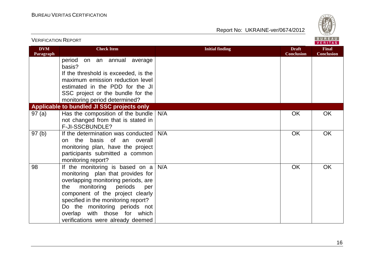

| <b>VERIFICATION REPORT</b> |                                                                                                                                                                                                                                                                                                                                            |                        |                                   | BUREAU<br><b>VERITAS</b>          |
|----------------------------|--------------------------------------------------------------------------------------------------------------------------------------------------------------------------------------------------------------------------------------------------------------------------------------------------------------------------------------------|------------------------|-----------------------------------|-----------------------------------|
| <b>DVM</b><br>Paragraph    | <b>Check Item</b>                                                                                                                                                                                                                                                                                                                          | <b>Initial finding</b> | <b>Draft</b><br><b>Conclusion</b> | <b>Final</b><br><b>Conclusion</b> |
|                            | period<br>on an annual average<br>basis?                                                                                                                                                                                                                                                                                                   |                        |                                   |                                   |
|                            | If the threshold is exceeded, is the                                                                                                                                                                                                                                                                                                       |                        |                                   |                                   |
|                            | maximum emission reduction level                                                                                                                                                                                                                                                                                                           |                        |                                   |                                   |
|                            | estimated in the PDD for the JI                                                                                                                                                                                                                                                                                                            |                        |                                   |                                   |
|                            | SSC project or the bundle for the                                                                                                                                                                                                                                                                                                          |                        |                                   |                                   |
|                            | monitoring period determined?<br>Applicable to bundled JI SSC projects only                                                                                                                                                                                                                                                                |                        |                                   |                                   |
| 97(a)                      | Has the composition of the bundle                                                                                                                                                                                                                                                                                                          | N/A                    | OK                                | <b>OK</b>                         |
|                            | not changed from that is stated in                                                                                                                                                                                                                                                                                                         |                        |                                   |                                   |
|                            | F-JI-SSCBUNDLE?                                                                                                                                                                                                                                                                                                                            |                        |                                   |                                   |
| 97(b)                      | If the determination was conducted<br>the basis of an overall<br>on<br>monitoring plan, have the project<br>participants submitted a common<br>monitoring report?                                                                                                                                                                          | N/A                    | OK                                | OK                                |
| 98                         | If the monitoring is based on $a \mid$<br>monitoring plan that provides for<br>overlapping monitoring periods, are<br>monitoring<br>periods<br>the<br>per<br>component of the project clearly<br>specified in the monitoring report?<br>Do the monitoring periods not<br>overlap with those for which<br>verifications were already deemed | N/A                    | OK                                | OK                                |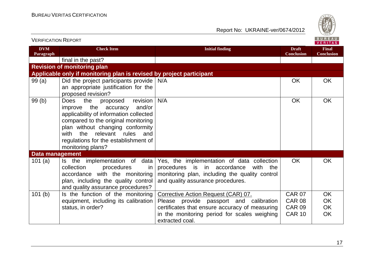

| <b>VERIFICATION REPORT</b> |                                                                                                                                                                                                                                                                                           |                                                                                                                                                                                    | BUREAU<br><b>VERITAS</b>          |                                   |
|----------------------------|-------------------------------------------------------------------------------------------------------------------------------------------------------------------------------------------------------------------------------------------------------------------------------------------|------------------------------------------------------------------------------------------------------------------------------------------------------------------------------------|-----------------------------------|-----------------------------------|
| <b>DVM</b><br>Paragraph    | <b>Check Item</b>                                                                                                                                                                                                                                                                         | <b>Initial finding</b>                                                                                                                                                             | <b>Draft</b><br><b>Conclusion</b> | <b>Final</b><br><b>Conclusion</b> |
|                            | final in the past?                                                                                                                                                                                                                                                                        |                                                                                                                                                                                    |                                   |                                   |
|                            | <b>Revision of monitoring plan</b>                                                                                                                                                                                                                                                        |                                                                                                                                                                                    |                                   |                                   |
|                            | Applicable only if monitoring plan is revised by project participant                                                                                                                                                                                                                      |                                                                                                                                                                                    |                                   |                                   |
| 99(a)                      | Did the project participants provide<br>an appropriate justification for the<br>proposed revision?                                                                                                                                                                                        | N/A                                                                                                                                                                                | <b>OK</b>                         | <b>OK</b>                         |
| 99(b)                      | the<br>revision<br>Does<br>proposed<br>the accuracy<br>and/or<br>improve<br>applicability of information collected<br>compared to the original monitoring<br>plan without changing conformity<br>with the relevant rules and<br>regulations for the establishment of<br>monitoring plans? | N/A                                                                                                                                                                                | <b>OK</b>                         | OK                                |
| <b>Data management</b>     |                                                                                                                                                                                                                                                                                           |                                                                                                                                                                                    |                                   |                                   |
| 101 $(a)$                  | Is the implementation of data<br>collection<br>procedures<br>in.<br>accordance with the monitoring<br>plan, including the quality control<br>and quality assurance procedures?                                                                                                            | Yes, the implementation of data collection<br>procedures is in<br>accordance<br>with<br>the<br>monitoring plan, including the quality control<br>and quality assurance procedures. | OK.                               | <b>OK</b>                         |
| 101 <sub>(b)</sub>         | Is the function of the monitoring                                                                                                                                                                                                                                                         | Corrective Action Request (CAR) 07.                                                                                                                                                | <b>CAR 07</b>                     | <b>OK</b>                         |
|                            | equipment, including its calibration                                                                                                                                                                                                                                                      | Please provide passport and calibration                                                                                                                                            | <b>CAR 08</b>                     | <b>OK</b>                         |
|                            | status, in order?                                                                                                                                                                                                                                                                         | certificates that ensure accuracy of measuring                                                                                                                                     | <b>CAR 09</b>                     | OK                                |
|                            |                                                                                                                                                                                                                                                                                           | in the monitoring period for scales weighing<br>extracted coal.                                                                                                                    | <b>CAR 10</b>                     | OK                                |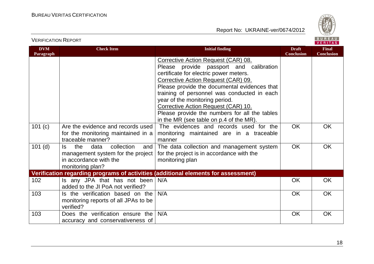

#### VERIFICATION REPORT

| <b>DVM</b><br><b>Paragraph</b> | <b>Check Item</b>                                                                                                          | <b>Initial finding</b>                                                                                                                                                                                                                                                                                                                                                                                                                                                        | <b>Draft</b><br><b>Conclusion</b> | <b>Final</b><br><b>Conclusion</b> |
|--------------------------------|----------------------------------------------------------------------------------------------------------------------------|-------------------------------------------------------------------------------------------------------------------------------------------------------------------------------------------------------------------------------------------------------------------------------------------------------------------------------------------------------------------------------------------------------------------------------------------------------------------------------|-----------------------------------|-----------------------------------|
| 101 (c)                        | Are the evidence and records used                                                                                          | Corrective Action Request (CAR) 08.<br>Please provide passport and calibration<br>certificate for electric power meters.<br>Corrective Action Request (CAR) 09.<br>Please provide the documental evidences that<br>training of personnel was conducted in each<br>year of the monitoring period.<br>Corrective Action Request (CAR) 10.<br>Please provide the numbers for all the tables<br>in the MR (see table on p.4 of the MR).<br>The evidences and records used for the | <b>OK</b>                         | <b>OK</b>                         |
|                                | for the monitoring maintained in a<br>traceable manner?                                                                    | monitoring maintained are in a traceable<br>manner                                                                                                                                                                                                                                                                                                                                                                                                                            |                                   |                                   |
| $101$ (d)                      | the<br>collection<br>data<br>and<br>ls.<br>management system for the project<br>in accordance with the<br>monitoring plan? | The data collection and management system<br>for the project is in accordance with the<br>monitoring plan                                                                                                                                                                                                                                                                                                                                                                     | <b>OK</b>                         | <b>OK</b>                         |
|                                |                                                                                                                            | Verification regarding programs of activities (additional elements for assessment)                                                                                                                                                                                                                                                                                                                                                                                            |                                   |                                   |
| 102                            | Is any JPA that has not been<br>added to the JI PoA not verified?                                                          | N/A                                                                                                                                                                                                                                                                                                                                                                                                                                                                           | <b>OK</b>                         | <b>OK</b>                         |
| 103                            | Is the verification based on the<br>monitoring reports of all JPAs to be<br>verified?                                      | N/A                                                                                                                                                                                                                                                                                                                                                                                                                                                                           | <b>OK</b>                         | <b>OK</b>                         |
| 103                            | Does the verification ensure the<br>accuracy and conservativeness of                                                       | N/A                                                                                                                                                                                                                                                                                                                                                                                                                                                                           | OK                                | OK                                |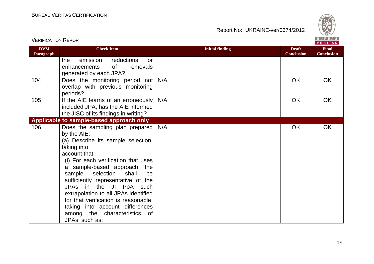

| <b>DVM</b><br>Paragraph | <b>Check Item</b>                                                                                                                                                                                                                                                                                                                                                                                                                                                          | <b>Initial finding</b> | <b>Draft</b><br><b>Conclusion</b> | <b>Final</b><br><b>Conclusion</b> |
|-------------------------|----------------------------------------------------------------------------------------------------------------------------------------------------------------------------------------------------------------------------------------------------------------------------------------------------------------------------------------------------------------------------------------------------------------------------------------------------------------------------|------------------------|-----------------------------------|-----------------------------------|
|                         | emission<br>reductions<br>the<br>or<br>enhancements<br>0f<br>removals<br>generated by each JPA?                                                                                                                                                                                                                                                                                                                                                                            |                        |                                   |                                   |
| 104                     | Does the monitoring period not<br>overlap with previous monitoring<br>periods?                                                                                                                                                                                                                                                                                                                                                                                             | N/A                    | <b>OK</b>                         | <b>OK</b>                         |
| 105                     | If the AIE learns of an erroneously<br>included JPA, has the AIE informed<br>the JISC of its findings in writing?                                                                                                                                                                                                                                                                                                                                                          | N/A                    | OK                                | <b>OK</b>                         |
|                         | Applicable to sample-based approach only                                                                                                                                                                                                                                                                                                                                                                                                                                   |                        |                                   |                                   |
| 106                     | Does the sampling plan prepared<br>by the AIE:<br>(a) Describe its sample selection,<br>taking into<br>account that:<br>(i) For each verification that uses<br>a sample-based approach, the<br>selection<br>sample<br>shall<br>be<br>sufficiently representative of the<br>JPAs in the JI PoA such<br>extrapolation to all JPAs identified<br>for that verification is reasonable,<br>taking into account differences<br>among the characteristics<br>of<br>JPAs, such as: | N/A                    | OK                                | <b>OK</b>                         |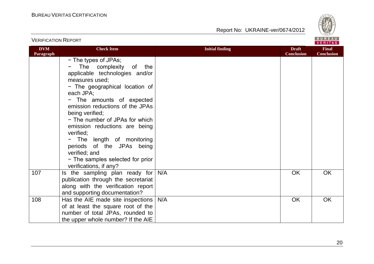

| <b>VERIFICATION REPORT</b> |                                                                                                                                                                                                                                                                                                                                                                                                                                                                     |                        |                                   | BUREAU<br>VERITAS                 |
|----------------------------|---------------------------------------------------------------------------------------------------------------------------------------------------------------------------------------------------------------------------------------------------------------------------------------------------------------------------------------------------------------------------------------------------------------------------------------------------------------------|------------------------|-----------------------------------|-----------------------------------|
| <b>DVM</b><br>Paragraph    | <b>Check Item</b>                                                                                                                                                                                                                                                                                                                                                                                                                                                   | <b>Initial finding</b> | <b>Draft</b><br><b>Conclusion</b> | <b>Final</b><br><b>Conclusion</b> |
|                            | - The types of JPAs;<br>The complexity<br>of<br>the<br>applicable technologies and/or<br>measures used;<br>- The geographical location of<br>each JPA;<br>- The amounts of expected<br>emission reductions of the JPAs<br>being verified;<br>- The number of JPAs for which<br>emission reductions are being<br>verified;<br>- The length of monitoring<br>periods of the JPAs being<br>verified; and<br>- The samples selected for prior<br>verifications, if any? |                        |                                   |                                   |
| 107                        | Is the sampling plan ready for<br>publication through the secretariat<br>along with the verification report<br>and supporting documentation?                                                                                                                                                                                                                                                                                                                        | N/A                    | <b>OK</b>                         | OK                                |
| 108                        | Has the AIE made site inspections  <br>of at least the square root of the<br>number of total JPAs, rounded to<br>the upper whole number? If the AIE                                                                                                                                                                                                                                                                                                                 | N/A                    | OK                                | <b>OK</b>                         |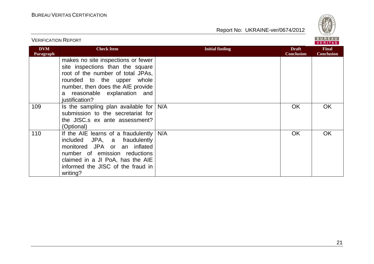

| <b>VERIFICATION REPORT</b> |                                                                                                                                                                                                                                     |                        |                                   | BUREAU<br><b>VERITAS</b>          |
|----------------------------|-------------------------------------------------------------------------------------------------------------------------------------------------------------------------------------------------------------------------------------|------------------------|-----------------------------------|-----------------------------------|
| <b>DVM</b><br>Paragraph    | <b>Check Item</b>                                                                                                                                                                                                                   | <b>Initial finding</b> | <b>Draft</b><br><b>Conclusion</b> | <b>Final</b><br><b>Conclusion</b> |
|                            | makes no site inspections or fewer<br>site inspections than the square<br>root of the number of total JPAs,<br>rounded to the upper<br>whole<br>number, then does the AIE provide<br>a reasonable explanation and<br>justification? |                        |                                   |                                   |
| 109                        | Is the sampling plan available for<br>submission to the secretariat for<br>the JISC.s ex ante assessment?<br>(Optional)                                                                                                             | N/A                    | <b>OK</b>                         | OK                                |
| 110                        | If the AIE learns of a fraudulently<br>included JPA, a fraudulently<br>monitored JPA or an inflated<br>number of emission reductions<br>claimed in a JI PoA, has the AIE<br>informed the JISC of the fraud in<br>writing?           | N/A                    | OK                                | <b>OK</b>                         |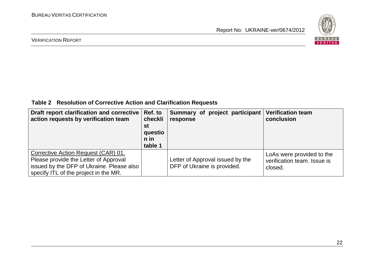

#### VERIFICATION REPORT

**Table 2 Resolution of Corrective Action and Clarification Requests**

| Draft report clarification and corrective<br>action requests by verification team                                                                                  | Ref. to<br>checkli<br>st<br>questio<br>$n$ in<br>table 1 | Summary of project participant<br>response                      | <b>Verification team</b><br>conclusion                              |
|--------------------------------------------------------------------------------------------------------------------------------------------------------------------|----------------------------------------------------------|-----------------------------------------------------------------|---------------------------------------------------------------------|
| Corrective Action Request (CAR) 01.<br>Please provide the Letter of Approval<br>issued by the DFP of Ukraine. Please also<br>specify ITL of the project in the MR. |                                                          | Letter of Approval issued by the<br>DFP of Ukraine is provided. | LoAs were provided to the<br>verification team. Issue is<br>closed. |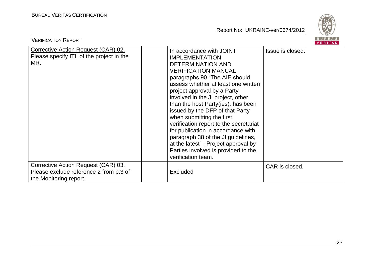

| <b>VERIFICATION REPORT</b>                                                                              |                                                                                                                                                                                                                                                                                                                                                                                                                                                                                                                                                                                         | <b>BUREAU</b><br><b>VERITAS</b> |
|---------------------------------------------------------------------------------------------------------|-----------------------------------------------------------------------------------------------------------------------------------------------------------------------------------------------------------------------------------------------------------------------------------------------------------------------------------------------------------------------------------------------------------------------------------------------------------------------------------------------------------------------------------------------------------------------------------------|---------------------------------|
| Corrective Action Request (CAR) 02.<br>Please specify ITL of the project in the<br>MR.                  | In accordance with JOINT<br><b>IMPLEMENTATION</b><br><b>DETERMINATION AND</b><br><b>VERIFICATION MANUAL</b><br>paragraphs 90 "The AIE should<br>assess whether at least one written<br>project approval by a Party<br>involved in the JI project, other<br>than the host Party(ies), has been<br>issued by the DFP of that Party<br>when submitting the first<br>verification report to the secretariat<br>for publication in accordance with<br>paragraph 38 of the JI guidelines,<br>at the latest". Project approval by<br>Parties involved is provided to the<br>verification team. | Issue is closed.                |
| Corrective Action Request (CAR) 03.<br>Please exclude reference 2 from p.3 of<br>the Monitoring report. | <b>Excluded</b>                                                                                                                                                                                                                                                                                                                                                                                                                                                                                                                                                                         | CAR is closed.                  |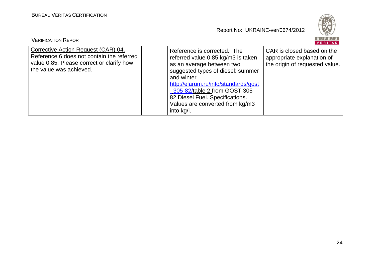

| <b>VERIFICATION REPORT</b>                                                                                                                               |                                                                                                                                                                                                                                                                                                                  | BUREAU<br>VERITAS                                                                          |
|----------------------------------------------------------------------------------------------------------------------------------------------------------|------------------------------------------------------------------------------------------------------------------------------------------------------------------------------------------------------------------------------------------------------------------------------------------------------------------|--------------------------------------------------------------------------------------------|
| Corrective Action Request (CAR) 04.<br>Reference 6 does not contain the referred<br>value 0.85. Please correct or clarify how<br>the value was achieved. | Reference is corrected. The<br>referred value 0.85 kg/m3 is taken<br>as an average between two<br>suggested types of diesel: summer<br>and winter<br>http://elarum.ru/info/standards/gost<br>- 305-82/table 2 from GOST 305-<br>82 Diesel Fuel. Specifications.<br>Values are converted from kg/m3<br>into kg/l. | CAR is closed based on the<br>appropriate explanation of<br>the origin of requested value. |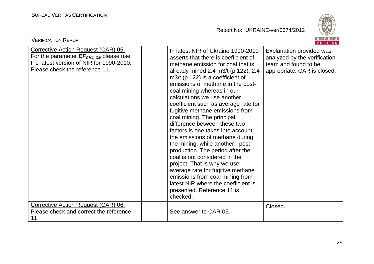

| <b>VERIFICATION REPORT</b>                                                                                                                                                     |                                                                                                                                                                                                                                                                                                                                                                                                                                                                                                                                                                                                                                                                                                                                                                                                                  | BUREAU<br><b>VERITAS</b>                                                                                        |  |  |
|--------------------------------------------------------------------------------------------------------------------------------------------------------------------------------|------------------------------------------------------------------------------------------------------------------------------------------------------------------------------------------------------------------------------------------------------------------------------------------------------------------------------------------------------------------------------------------------------------------------------------------------------------------------------------------------------------------------------------------------------------------------------------------------------------------------------------------------------------------------------------------------------------------------------------------------------------------------------------------------------------------|-----------------------------------------------------------------------------------------------------------------|--|--|
| <b>Corrective Action Request (CAR) 05.</b><br>For the parameter $EF_{CH4, \text{CM}}$ please use<br>the latest version of NIR for 1990-2010.<br>Please check the reference 11. | In latest NIR of Ukraine 1990-2010<br>asserts that there is coefficient of<br>methane emission for coal that is<br>already mined 2,4 m3/t (p.122). 2,4<br>$m3/t$ (p.122) is a coefficient of<br>emissions of methane in the post-<br>coal mining whereas in our<br>calculations we use another<br>coefficient such as average rate for<br>fugitive methane emissions from<br>coal mining. The principal<br>difference between these two<br>factors is one takes into account<br>the emissions of methane during<br>the mining, while another - post<br>production. The period after the<br>coal is not considered in the<br>project. That is why we use<br>average rate for fugitive methane<br>emissions from coal mining from<br>latest NIR where the coefficient is<br>presented. Reference 11 is<br>checked. | Explanation provided was<br>analyzed by the verification<br>team and found to be<br>appropriate. CAR is closed. |  |  |
| Corrective Action Request (CAR) 06.<br>Please check and correct the reference<br>11.                                                                                           | See answer to CAR 05.                                                                                                                                                                                                                                                                                                                                                                                                                                                                                                                                                                                                                                                                                                                                                                                            | Closed.                                                                                                         |  |  |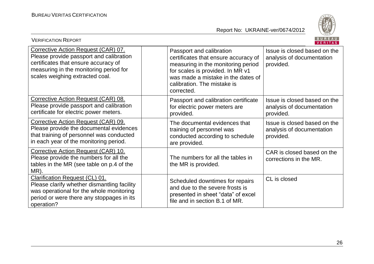

| <b>VERIFICATION REPORT</b>                                                                                                                                                                          |                                                                                                                                                                                                                               | <b>BUREAU</b><br><b>VERITAS</b>                                        |  |
|-----------------------------------------------------------------------------------------------------------------------------------------------------------------------------------------------------|-------------------------------------------------------------------------------------------------------------------------------------------------------------------------------------------------------------------------------|------------------------------------------------------------------------|--|
| Corrective Action Request (CAR) 07.<br>Please provide passport and calibration<br>certificates that ensure accuracy of<br>measuring in the monitoring period for<br>scales weighing extracted coal. | Passport and calibration<br>certificates that ensure accuracy of<br>measuring in the monitoring period<br>for scales is provided. In MR v1<br>was made a mistake in the dates of<br>calibration. The mistake is<br>corrected. | Issue is closed based on the<br>analysis of documentation<br>provided. |  |
| Corrective Action Request (CAR) 08.<br>Please provide passport and calibration<br>certificate for electric power meters.                                                                            | Passport and calibration certificate<br>for electric power meters are<br>provided.                                                                                                                                            | Issue is closed based on the<br>analysis of documentation<br>provided. |  |
| Corrective Action Request (CAR) 09.<br>Please provide the documental evidences<br>that training of personnel was conducted<br>in each year of the monitoring period.                                | The documental evidences that<br>training of personnel was<br>conducted according to schedule<br>are provided.                                                                                                                | Issue is closed based on the<br>analysis of documentation<br>provided. |  |
| Corrective Action Request (CAR) 10.<br>Please provide the numbers for all the<br>tables in the MR (see table on p.4 of the<br>MR).                                                                  | The numbers for all the tables in<br>the MR is provided.                                                                                                                                                                      | CAR is closed based on the<br>corrections in the MR.                   |  |
| <b>Clarification Request (CL) 01.</b><br>Please clarify whether dismantling facility<br>was operational for the whole monitoring<br>period or were there any stoppages in its<br>operation?         | Scheduled downtimes for repairs<br>and due to the severe frosts is<br>presented in sheet "data" of excel<br>file and in section B.1 of MR.                                                                                    | CL is closed                                                           |  |